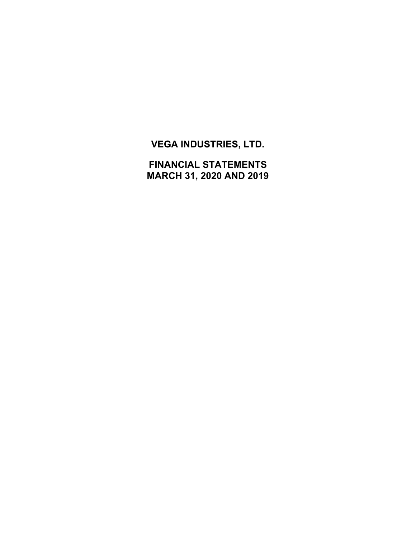**VEGA INDUSTRIES, LTD.**

**FINANCIAL STATEMENTS MARCH 31, 2020 AND 2019**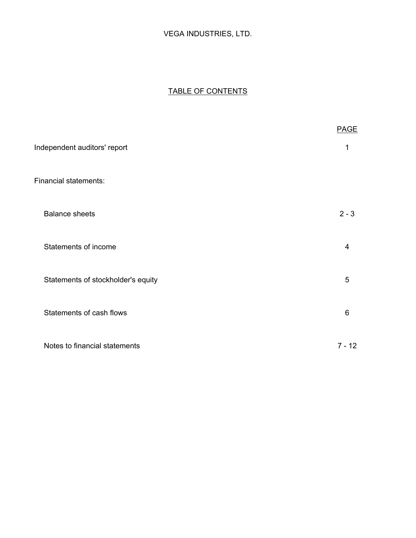# VEGA INDUSTRIES, LTD.

# TABLE OF CONTENTS

|                                    | <b>PAGE</b>     |
|------------------------------------|-----------------|
| Independent auditors' report       | 1               |
| <b>Financial statements:</b>       |                 |
| <b>Balance sheets</b>              | $2 - 3$         |
| Statements of income               | $\overline{4}$  |
| Statements of stockholder's equity | 5               |
| Statements of cash flows           | $6\phantom{1}6$ |
| Notes to financial statements      | $7 - 12$        |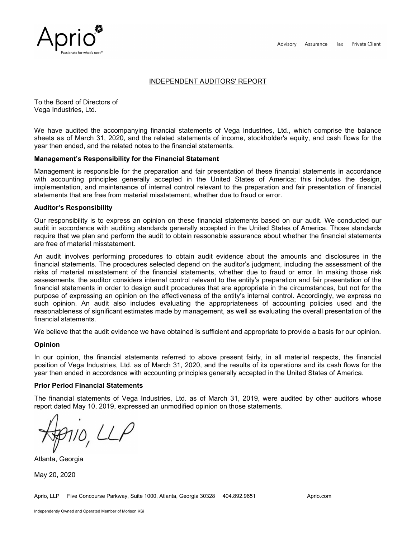

#### INDEPENDENT AUDITORS' REPORT

To the Board of Directors of Vega Industries, Ltd.

We have audited the accompanying financial statements of Vega Industries, Ltd., which comprise the balance sheets as of March 31, 2020, and the related statements of income, stockholder's equity, and cash flows for the year then ended, and the related notes to the financial statements.

#### **Management's Responsibility for the Financial Statement**

Management is responsible for the preparation and fair presentation of these financial statements in accordance with accounting principles generally accepted in the United States of America; this includes the design, implementation, and maintenance of internal control relevant to the preparation and fair presentation of financial statements that are free from material misstatement, whether due to fraud or error.

#### **Auditor's Responsibility**

Our responsibility is to express an opinion on these financial statements based on our audit. We conducted our audit in accordance with auditing standards generally accepted in the United States of America. Those standards require that we plan and perform the audit to obtain reasonable assurance about whether the financial statements are free of material misstatement.

An audit involves performing procedures to obtain audit evidence about the amounts and disclosures in the financial statements. The procedures selected depend on the auditor's judgment, including the assessment of the risks of material misstatement of the financial statements, whether due to fraud or error. In making those risk assessments, the auditor considers internal control relevant to the entity's preparation and fair presentation of the financial statements in order to design audit procedures that are appropriate in the circumstances, but not for the purpose of expressing an opinion on the effectiveness of the entity's internal control. Accordingly, we express no such opinion. An audit also includes evaluating the appropriateness of accounting policies used and the reasonableness of significant estimates made by management, as well as evaluating the overall presentation of the financial statements.

We believe that the audit evidence we have obtained is sufficient and appropriate to provide a basis for our opinion.

#### **Opinion**

In our opinion, the financial statements referred to above present fairly, in all material respects, the financial position of Vega Industries, Ltd. as of March 31, 2020, and the results of its operations and its cash flows for the year then ended in accordance with accounting principles generally accepted in the United States of America.

#### **Prior Period Financial Statements**

The financial statements of Vega Industries, Ltd. as of March 31, 2019, were audited by other auditors whose report dated May 10, 2019, expressed an unmodified opinion on those statements.

 $10,LLP$ 

Atlanta, Georgia

May 20, 2020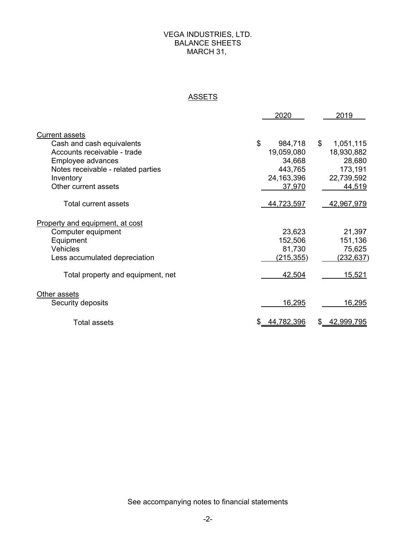# VEGA INDUSTRIES, LTD. BALANCE SHEETS MARCH 31,

# **ASSETS**

|                                    | 2020             | 2019             |
|------------------------------------|------------------|------------------|
| <b>Current assets</b>              |                  |                  |
| Cash and cash equivalents          | \$<br>984,718    | \$<br>1,051,115  |
| Accounts receivable - trade        | 19,059,080       | 18,930,882       |
| Employee advances                  | 34,668           | 28,680           |
| Notes receivable - related parties | 443,765          | 173,191          |
| Inventory                          | 24, 163, 396     | 22,739,592       |
| Other current assets               | 37,970           | 44,519           |
| Total current assets               | 44,723,597       | 42,967,979       |
| Property and equipment, at cost    |                  |                  |
| Computer equipment                 | 23,623           | 21,397           |
| Equipment                          | 152,506          | 151,136          |
| Vehicles                           | 81,730           | 75,625           |
| Less accumulated depreciation      | <u>(215,355)</u> | <u>(232,637)</u> |
| Total property and equipment, net  | 42,504           | 15,521           |
| Other assets                       |                  |                  |
| Security deposits                  | 16,295           | 16,295           |
| <b>Total assets</b>                | 44,782,396       | 42,999,795       |

See accompanying notes to financial statements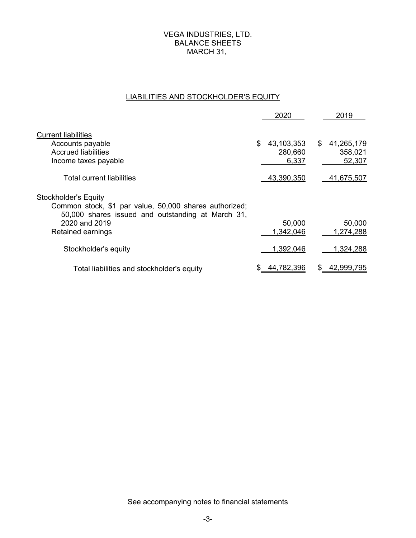# VEGA INDUSTRIES, LTD. BALANCE SHEETS MARCH 31,

## LIABILITIES AND STOCKHOLDER'S EQUITY

|                                                                                                                                     | 2020                                 | 2019                                  |
|-------------------------------------------------------------------------------------------------------------------------------------|--------------------------------------|---------------------------------------|
| <b>Current liabilities</b>                                                                                                          |                                      |                                       |
| Accounts payable<br><b>Accrued liabilities</b><br>Income taxes payable                                                              | \$<br>43,103,353<br>280,660<br>6,337 | 41,265,179<br>\$<br>358,021<br>52,307 |
| <b>Total current liabilities</b>                                                                                                    | 43,390,350                           | 41,675,507                            |
| Stockholder's Equity<br>Common stock, \$1 par value, 50,000 shares authorized;<br>50,000 shares issued and outstanding at March 31, |                                      |                                       |
| 2020 and 2019<br>Retained earnings                                                                                                  | 50,000<br>1,342,046                  | 50,000<br>1,274,288                   |
| Stockholder's equity                                                                                                                | 1,392,046                            | 1,324,288                             |
| Total liabilities and stockholder's equity                                                                                          | 44,782,396                           | 42,999,795<br>S                       |

See accompanying notes to financial statements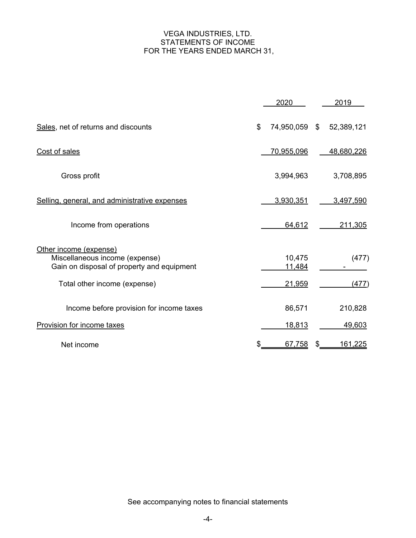### VEGA INDUSTRIES, LTD. STATEMENTS OF INCOME FOR THE YEARS ENDED MARCH 31,

|                                                                                                                                        | 2020                       |   | 2019              |
|----------------------------------------------------------------------------------------------------------------------------------------|----------------------------|---|-------------------|
| Sales, net of returns and discounts                                                                                                    | \$<br>74,950,059 \$        |   | 52,389,121        |
| Cost of sales                                                                                                                          | 70,955,096                 |   | <u>48,680,226</u> |
| Gross profit                                                                                                                           | 3,994,963                  |   | 3,708,895         |
| Selling, general, and administrative expenses                                                                                          | 3,930,351                  |   | 3,497,590         |
| Income from operations                                                                                                                 | 64,612                     |   | 211,305           |
| Other income (expense)<br>Miscellaneous income (expense)<br>Gain on disposal of property and equipment<br>Total other income (expense) | 10,475<br>11,484<br>21,959 |   | (477)<br>(477)    |
| Income before provision for income taxes                                                                                               | 86,571                     |   | 210,828           |
| <b>Provision for income taxes</b>                                                                                                      | 18,813                     |   | 49,603            |
| Net income                                                                                                                             | \$<br>67,758               | S | <u>161,225</u>    |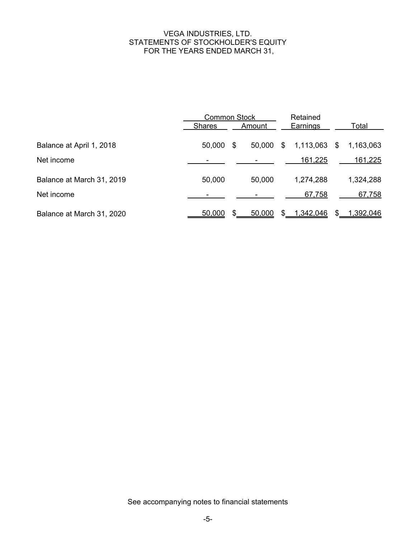### VEGA INDUSTRIES, LTD. STATEMENTS OF STOCKHOLDER'S EQUITY FOR THE YEARS ENDED MARCH 31,

|                           | <b>Common Stock</b> |     |        |    | Retained  |    |           |
|---------------------------|---------------------|-----|--------|----|-----------|----|-----------|
|                           | <b>Shares</b>       |     | Amount |    | Earnings  |    | Total     |
|                           |                     |     |        |    |           |    |           |
| Balance at April 1, 2018  | 50,000              | \$  | 50,000 | \$ | 1,113,063 | \$ | 1,163,063 |
| Net income                |                     |     |        |    | 161,225   |    | 161,225   |
| Balance at March 31, 2019 | 50,000              |     | 50,000 |    | 1,274,288 |    | 1,324,288 |
| Net income                |                     |     |        |    | 67,758    |    | 67,758    |
| Balance at March 31, 2020 | 50,000              | \$. | 50,000 | S. | 1,342,046 |    | 1,392,046 |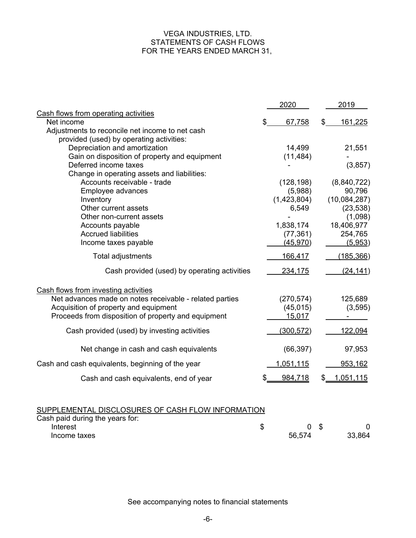### VEGA INDUSTRIES, LTD. STATEMENTS OF CASH FLOWS FOR THE YEARS ENDED MARCH 31,

|                                                         | 2020        | 2019            |
|---------------------------------------------------------|-------------|-----------------|
| Cash flows from operating activities                    |             |                 |
| Net income                                              | 67,758      | \$<br>161,225   |
| Adjustments to reconcile net income to net cash         |             |                 |
| provided (used) by operating activities:                |             |                 |
| Depreciation and amortization                           | 14,499      | 21,551          |
| Gain on disposition of property and equipment           | (11, 484)   |                 |
| Deferred income taxes                                   |             | (3, 857)        |
| Change in operating assets and liabilities:             |             |                 |
| Accounts receivable - trade                             | (128, 198)  | (8,840,722)     |
| Employee advances                                       | (5,988)     | 90,796          |
| Inventory                                               | (1,423,804) | (10,084,287)    |
| Other current assets                                    | 6,549       | (23, 538)       |
| Other non-current assets                                |             | (1,098)         |
| Accounts payable                                        | 1,838,174   | 18,406,977      |
| <b>Accrued liabilities</b>                              | (77, 361)   | 254,765         |
| Income taxes payable                                    | (45, 970)   | (5,953)         |
| Total adjustments                                       | 166,417     | (185, 366)      |
| Cash provided (used) by operating activities            | 234,175     | (24, 141)       |
| Cash flows from investing activities                    |             |                 |
| Net advances made on notes receivable - related parties | (270, 574)  | 125,689         |
| Acquisition of property and equipment                   | (45, 015)   | (3, 595)        |
| Proceeds from disposition of property and equipment     | 15,017      |                 |
| Cash provided (used) by investing activities            | (300, 572)  | <u>122,094</u>  |
|                                                         |             |                 |
| Net change in cash and cash equivalents                 | (66, 397)   | 97,953          |
| Cash and cash equivalents, beginning of the year        | 1,051,115   | 953,162         |
| Cash and cash equivalents, end of year                  | 984,718     | 1,051,115<br>\$ |
|                                                         |             |                 |
| SUPPLEMENTAL DISCLOSURES OF CASH FLOW INFORMATION       |             |                 |
| Cash paid during the years for:                         |             |                 |
| Interest                                                | \$<br>0     | \$<br>0         |
| Income taxes                                            | 56,574      | 33,864          |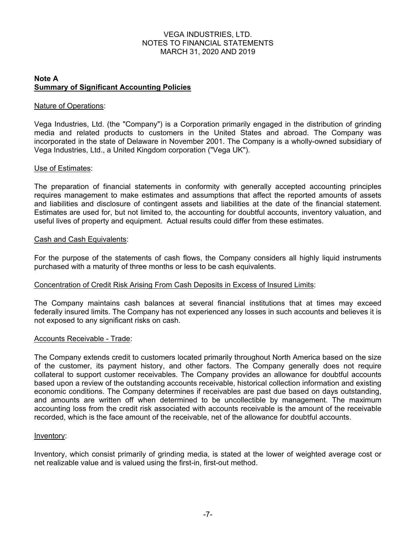## **Note A Summary of Significant Accounting Policies**

### Nature of Operations:

Vega Industries, Ltd. (the "Company") is a Corporation primarily engaged in the distribution of grinding media and related products to customers in the United States and abroad. The Company was incorporated in the state of Delaware in November 2001. The Company is a wholly-owned subsidiary of Vega Industries, Ltd., a United Kingdom corporation ("Vega UK").

### Use of Estimates:

The preparation of financial statements in conformity with generally accepted accounting principles requires management to make estimates and assumptions that affect the reported amounts of assets and liabilities and disclosure of contingent assets and liabilities at the date of the financial statement. Estimates are used for, but not limited to, the accounting for doubtful accounts, inventory valuation, and useful lives of property and equipment. Actual results could differ from these estimates.

### Cash and Cash Equivalents:

For the purpose of the statements of cash flows, the Company considers all highly liquid instruments purchased with a maturity of three months or less to be cash equivalents.

### Concentration of Credit Risk Arising From Cash Deposits in Excess of Insured Limits:

The Company maintains cash balances at several financial institutions that at times may exceed federally insured limits. The Company has not experienced any losses in such accounts and believes it is not exposed to any significant risks on cash.

### Accounts Receivable - Trade:

The Company extends credit to customers located primarily throughout North America based on the size of the customer, its payment history, and other factors. The Company generally does not require collateral to support customer receivables. The Company provides an allowance for doubtful accounts based upon a review of the outstanding accounts receivable, historical collection information and existing economic conditions. The Company determines if receivables are past due based on days outstanding, and amounts are written off when determined to be uncollectible by management. The maximum accounting loss from the credit risk associated with accounts receivable is the amount of the receivable recorded, which is the face amount of the receivable, net of the allowance for doubtful accounts.

### Inventory:

Inventory, which consist primarily of grinding media, is stated at the lower of weighted average cost or net realizable value and is valued using the first-in, first-out method.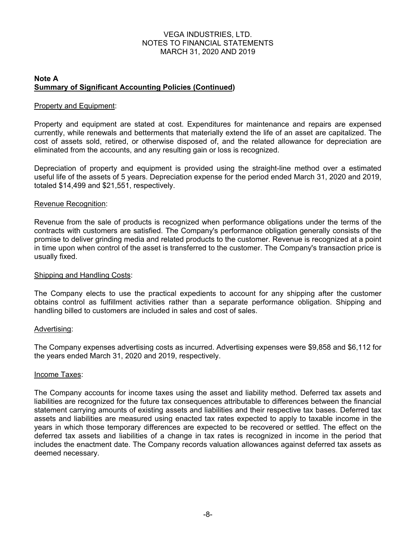# **Note A Summary of Significant Accounting Policies (Continued)**

### Property and Equipment:

Property and equipment are stated at cost. Expenditures for maintenance and repairs are expensed currently, while renewals and betterments that materially extend the life of an asset are capitalized. The cost of assets sold, retired, or otherwise disposed of, and the related allowance for depreciation are eliminated from the accounts, and any resulting gain or loss is recognized.

Depreciation of property and equipment is provided using the straight-line method over a estimated useful life of the assets of 5 years. Depreciation expense for the period ended March 31, 2020 and 2019, totaled \$14,499 and \$21,551, respectively.

### Revenue Recognition:

Revenue from the sale of products is recognized when performance obligations under the terms of the contracts with customers are satisfied. The Company's performance obligation generally consists of the promise to deliver grinding media and related products to the customer. Revenue is recognized at a point in time upon when control of the asset is transferred to the customer. The Company's transaction price is usually fixed.

### Shipping and Handling Costs:

The Company elects to use the practical expedients to account for any shipping after the customer obtains control as fulfillment activities rather than a separate performance obligation. Shipping and handling billed to customers are included in sales and cost of sales.

# Advertising:

The Company expenses advertising costs as incurred. Advertising expenses were \$9,858 and \$6,112 for the years ended March 31, 2020 and 2019, respectively.

# Income Taxes:

The Company accounts for income taxes using the asset and liability method. Deferred tax assets and liabilities are recognized for the future tax consequences attributable to differences between the financial statement carrying amounts of existing assets and liabilities and their respective tax bases. Deferred tax assets and liabilities are measured using enacted tax rates expected to apply to taxable income in the years in which those temporary differences are expected to be recovered or settled. The effect on the deferred tax assets and liabilities of a change in tax rates is recognized in income in the period that includes the enactment date. The Company records valuation allowances against deferred tax assets as deemed necessary.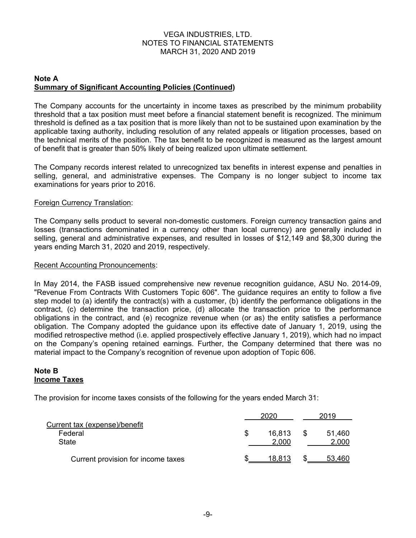# **Note A Summary of Significant Accounting Policies (Continued)**

The Company accounts for the uncertainty in income taxes as prescribed by the minimum probability threshold that a tax position must meet before a financial statement benefit is recognized. The minimum threshold is defined as a tax position that is more likely than not to be sustained upon examination by the applicable taxing authority, including resolution of any related appeals or litigation processes, based on the technical merits of the position. The tax benefit to be recognized is measured as the largest amount of benefit that is greater than 50% likely of being realized upon ultimate settlement.

The Company records interest related to unrecognized tax benefits in interest expense and penalties in selling, general, and administrative expenses. The Company is no longer subject to income tax examinations for years prior to 2016.

# Foreign Currency Translation:

The Company sells product to several non-domestic customers. Foreign currency transaction gains and losses (transactions denominated in a currency other than local currency) are generally included in selling, general and administrative expenses, and resulted in losses of \$12,149 and \$8,300 during the years ending March 31, 2020 and 2019, respectively.

### Recent Accounting Pronouncements:

In May 2014, the FASB issued comprehensive new revenue recognition guidance, ASU No. 2014-09, "Revenue From Contracts With Customers Topic 606". The guidance requires an entity to follow a five step model to (a) identify the contract(s) with a customer, (b) identify the performance obligations in the contract, (c) determine the transaction price, (d) allocate the transaction price to the performance obligations in the contract, and (e) recognize revenue when (or as) the entity satisfies a performance obligation. The Company adopted the guidance upon its effective date of January 1, 2019, using the modified retrospective method (i.e. applied prospectively effective January 1, 2019), which had no impact on the Company's opening retained earnings. Further, the Company determined that there was no material impact to the Company's recognition of revenue upon adoption of Topic 606.

### **Note B Income Taxes**

The provision for income taxes consists of the following for the years ended March 31:

|                                                          |     |                 | 2019                  |
|----------------------------------------------------------|-----|-----------------|-----------------------|
| Current tax (expense)/benefit<br>Federal<br><b>State</b> | \$. | 16.813<br>2,000 | \$<br>51,460<br>2,000 |
| Current provision for income taxes                       |     | 18.813          | 53.460                |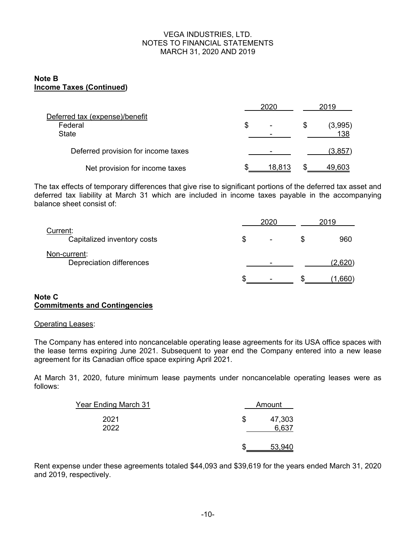### **Note B Income Taxes (Continued)**

|                                     | 2020 |                               | 2019 |                |
|-------------------------------------|------|-------------------------------|------|----------------|
| Deferred tax (expense)/benefit      |      |                               |      |                |
| Federal<br><b>State</b>             | \$   | $\overline{\phantom{a}}$<br>- |      | (3,995)<br>138 |
| Deferred provision for income taxes |      |                               |      | <u>(3,857)</u> |
| Net provision for income taxes      |      | 18,813                        |      | 49,603         |

The tax effects of temporary differences that give rise to significant portions of the deferred tax asset and deferred tax liability at March 31 which are included in income taxes payable in the accompanying balance sheet consist of:

|                                          |   | 2020 | 2019    |
|------------------------------------------|---|------|---------|
| Current:<br>Capitalized inventory costs  | S | ۰    | 960     |
| Non-current:<br>Depreciation differences |   |      | (2,620) |
|                                          |   |      | .660    |

### **Note C Commitments and Contingencies**

### **Operating Leases:**

The Company has entered into noncancelable operating lease agreements for its USA office spaces with the lease terms expiring June 2021. Subsequent to year end the Company entered into a new lease agreement for its Canadian office space expiring April 2021.

At March 31, 2020, future minimum lease payments under noncancelable operating leases were as follows:

| <u>Year Ending March 31</u> |   | Amount          |
|-----------------------------|---|-----------------|
| 2021<br>2022                | S | 47,303<br>6,637 |
|                             |   | 53.940          |

Rent expense under these agreements totaled \$44,093 and \$39,619 for the years ended March 31, 2020 and 2019, respectively.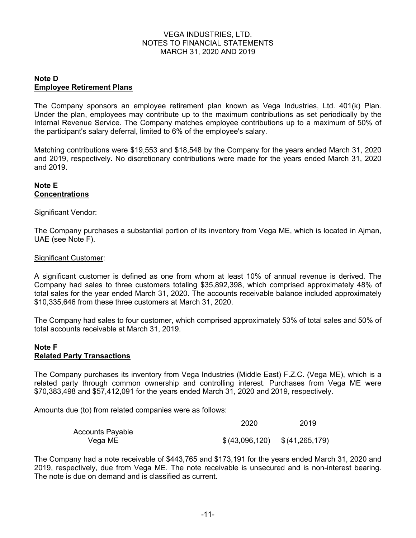### **Note D Employee Retirement Plans**

The Company sponsors an employee retirement plan known as Vega Industries, Ltd. 401(k) Plan. Under the plan, employees may contribute up to the maximum contributions as set periodically by the Internal Revenue Service. The Company matches employee contributions up to a maximum of 50% of the participant's salary deferral, limited to 6% of the employee's salary.

Matching contributions were \$19,553 and \$18,548 by the Company for the years ended March 31, 2020 and 2019, respectively. No discretionary contributions were made for the years ended March 31, 2020 and 2019.

# **Note E Concentrations**

### Significant Vendor:

The Company purchases a substantial portion of its inventory from Vega ME, which is located in Ajman, UAE (see Note F).

### Significant Customer:

A significant customer is defined as one from whom at least 10% of annual revenue is derived. The Company had sales to three customers totaling \$35,892,398, which comprised approximately 48% of total sales for the year ended March 31, 2020. The accounts receivable balance included approximately \$10,335,646 from these three customers at March 31, 2020.

The Company had sales to four customer, which comprised approximately 53% of total sales and 50% of total accounts receivable at March 31, 2019.

### **Note F Related Party Transactions**

The Company purchases its inventory from Vega Industries (Middle East) F.Z.C. (Vega ME), which is a related party through common ownership and controlling interest. Purchases from Vega ME were \$70,383,498 and \$57,412,091 for the years ended March 31, 2020 and 2019, respectively.

Amounts due (to) from related companies were as follows:

|                         | 2020 | 2019                                  |
|-------------------------|------|---------------------------------------|
| <b>Accounts Payable</b> |      |                                       |
| Vega ME                 |      | $$ (43,096,120) \quad $ (41,265,179)$ |

The Company had a note receivable of \$443,765 and \$173,191 for the years ended March 31, 2020 and 2019, respectively, due from Vega ME. The note receivable is unsecured and is non-interest bearing. The note is due on demand and is classified as current.